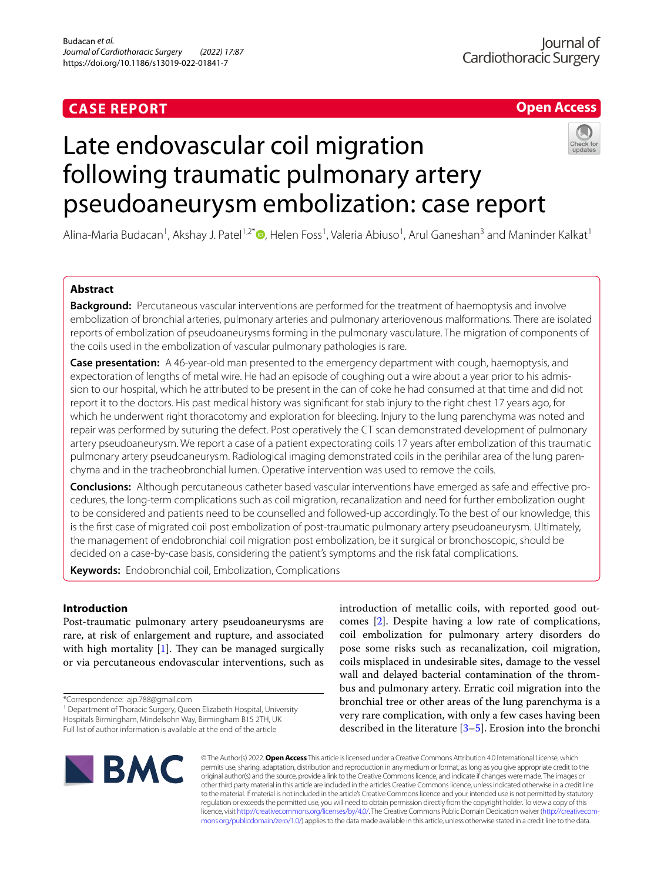# **CASE REPORT**

# **Open Access**

# Late endovascular coil migration following traumatic pulmonary artery pseudoaneurysm embolization: case report



Alina-Maria Budacan<sup>1</sup>, Akshay J. Patel<sup>1,2[\\*](http://orcid.org/0000-0001-9170-8618)</sup> D, Helen Foss<sup>1</sup>, Valeria Abiuso<sup>1</sup>, Arul Ganeshan<sup>3</sup> and Maninder Kalkat<sup>1</sup>

# **Abstract**

**Background:** Percutaneous vascular interventions are performed for the treatment of haemoptysis and involve embolization of bronchial arteries, pulmonary arteries and pulmonary arteriovenous malformations. There are isolated reports of embolization of pseudoaneurysms forming in the pulmonary vasculature. The migration of components of the coils used in the embolization of vascular pulmonary pathologies is rare.

**Case presentation:** A 46-year-old man presented to the emergency department with cough, haemoptysis, and expectoration of lengths of metal wire. He had an episode of coughing out a wire about a year prior to his admission to our hospital, which he attributed to be present in the can of coke he had consumed at that time and did not report it to the doctors. His past medical history was signifcant for stab injury to the right chest 17 years ago, for which he underwent right thoracotomy and exploration for bleeding. Injury to the lung parenchyma was noted and repair was performed by suturing the defect. Post operatively the CT scan demonstrated development of pulmonary artery pseudoaneurysm. We report a case of a patient expectorating coils 17 years after embolization of this traumatic pulmonary artery pseudoaneurysm. Radiological imaging demonstrated coils in the perihilar area of the lung parenchyma and in the tracheobronchial lumen. Operative intervention was used to remove the coils.

**Conclusions:** Although percutaneous catheter based vascular interventions have emerged as safe and efective pro‑ cedures, the long-term complications such as coil migration, recanalization and need for further embolization ought to be considered and patients need to be counselled and followed-up accordingly. To the best of our knowledge, this is the frst case of migrated coil post embolization of post-traumatic pulmonary artery pseudoaneurysm. Ultimately, the management of endobronchial coil migration post embolization, be it surgical or bronchoscopic, should be decided on a case-by-case basis, considering the patient's symptoms and the risk fatal complications.

**Keywords:** Endobronchial coil, Embolization, Complications

# **Introduction**

Post-traumatic pulmonary artery pseudoaneurysms are rare, at risk of enlargement and rupture, and associated with high mortality  $[1]$  $[1]$ . They can be managed surgically or via percutaneous endovascular interventions, such as

<sup>1</sup> Department of Thoracic Surgery, Queen Elizabeth Hospital, University Hospitals Birmingham, Mindelsohn Way, Birmingham B15 2TH, UK Full list of author information is available at the end of the article

introduction of metallic coils, with reported good outcomes [\[2](#page-3-0)]. Despite having a low rate of complications, coil embolization for pulmonary artery disorders do pose some risks such as recanalization, coil migration, coils misplaced in undesirable sites, damage to the vessel wall and delayed bacterial contamination of the thrombus and pulmonary artery. Erratic coil migration into the bronchial tree or other areas of the lung parenchyma is a very rare complication, with only a few cases having been described in the literature [[3](#page-3-1)[–5](#page-3-2)]. Erosion into the bronchi



© The Author(s) 2022. **Open Access** This article is licensed under a Creative Commons Attribution 4.0 International License, which permits use, sharing, adaptation, distribution and reproduction in any medium or format, as long as you give appropriate credit to the original author(s) and the source, provide a link to the Creative Commons licence, and indicate if changes were made. The images or other third party material in this article are included in the article's Creative Commons licence, unless indicated otherwise in a credit line to the material. If material is not included in the article's Creative Commons licence and your intended use is not permitted by statutory regulation or exceeds the permitted use, you will need to obtain permission directly from the copyright holder. To view a copy of this licence, visit [http://creativecommons.org/licenses/by/4.0/.](http://creativecommons.org/licenses/by/4.0/) The Creative Commons Public Domain Dedication waiver (http://creativecom[mons.org/publicdomain/zero/1.0/\)](http://creativecommons.org/publicdomain/zero/1.0/) applies to the data made available in this article, unless otherwise stated in a credit line to the data.

<sup>\*</sup>Correspondence: ajp.788@gmail.com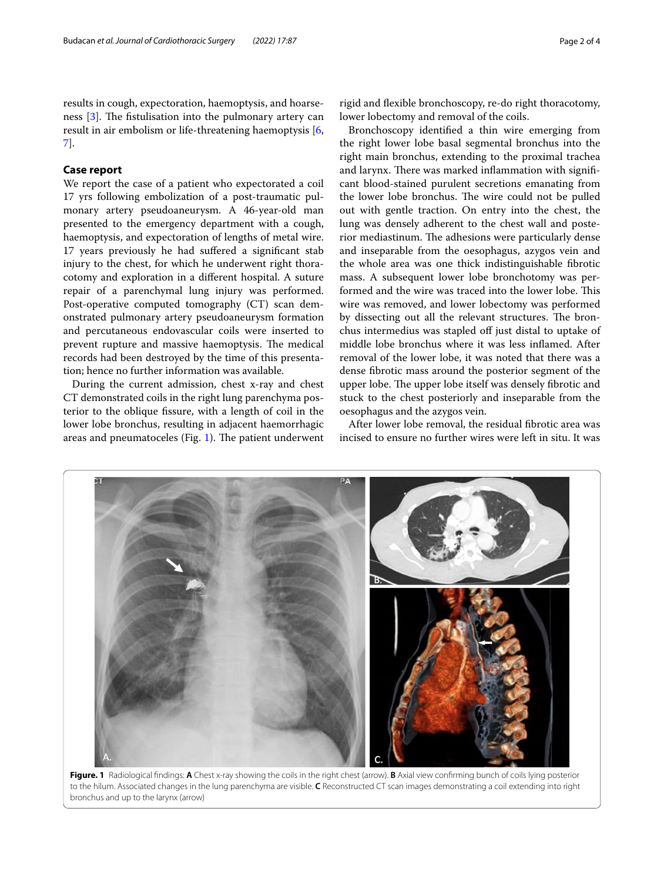results in cough, expectoration, haemoptysis, and hoarseness  $[3]$  $[3]$ . The fistulisation into the pulmonary artery can result in air embolism or life-threatening haemoptysis [\[6](#page-3-3), [7\]](#page-3-4).

# **Case report**

We report the case of a patient who expectorated a coil 17 yrs following embolization of a post-traumatic pulmonary artery pseudoaneurysm. A 46-year-old man presented to the emergency department with a cough, haemoptysis, and expectoration of lengths of metal wire. 17 years previously he had sufered a signifcant stab injury to the chest, for which he underwent right thoracotomy and exploration in a diferent hospital. A suture repair of a parenchymal lung injury was performed. Post-operative computed tomography (CT) scan demonstrated pulmonary artery pseudoaneurysm formation and percutaneous endovascular coils were inserted to prevent rupture and massive haemoptysis. The medical records had been destroyed by the time of this presentation; hence no further information was available.

During the current admission, chest x-ray and chest CT demonstrated coils in the right lung parenchyma posterior to the oblique fssure, with a length of coil in the lower lobe bronchus, resulting in adjacent haemorrhagic areas and pneumatoceles (Fig.  $1$ ). The patient underwent rigid and fexible bronchoscopy, re-do right thoracotomy, lower lobectomy and removal of the coils.

Bronchoscopy identifed a thin wire emerging from the right lower lobe basal segmental bronchus into the right main bronchus, extending to the proximal trachea and larynx. There was marked inflammation with significant blood-stained purulent secretions emanating from the lower lobe bronchus. The wire could not be pulled out with gentle traction. On entry into the chest, the lung was densely adherent to the chest wall and posterior mediastinum. The adhesions were particularly dense and inseparable from the oesophagus, azygos vein and the whole area was one thick indistinguishable fbrotic mass. A subsequent lower lobe bronchotomy was performed and the wire was traced into the lower lobe. This wire was removed, and lower lobectomy was performed by dissecting out all the relevant structures. The bronchus intermedius was stapled off just distal to uptake of middle lobe bronchus where it was less infamed. After removal of the lower lobe, it was noted that there was a dense fbrotic mass around the posterior segment of the upper lobe. The upper lobe itself was densely fibrotic and stuck to the chest posteriorly and inseparable from the oesophagus and the azygos vein.

After lower lobe removal, the residual fbrotic area was incised to ensure no further wires were left in situ. It was

<span id="page-1-0"></span>

**Figure. 1** Radiological fndings: **A** Chest x-ray showing the coils in the right chest (arrow). **B** Axial view confrming bunch of coils lying posterior to the hilum. Associated changes in the lung parenchyma are visible. **C** Reconstructed CT scan images demonstrating a coil extending into right bronchus and up to the larynx (arrow)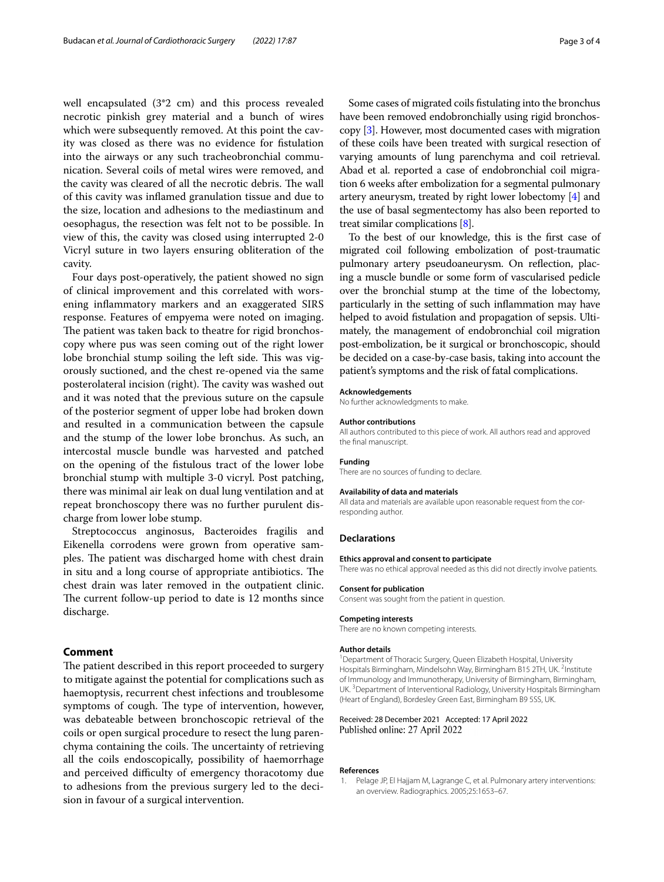well encapsulated (3\*2 cm) and this process revealed necrotic pinkish grey material and a bunch of wires which were subsequently removed. At this point the cavity was closed as there was no evidence for fstulation into the airways or any such tracheobronchial communication. Several coils of metal wires were removed, and the cavity was cleared of all the necrotic debris. The wall of this cavity was infamed granulation tissue and due to the size, location and adhesions to the mediastinum and oesophagus, the resection was felt not to be possible. In view of this, the cavity was closed using interrupted 2-0 Vicryl suture in two layers ensuring obliteration of the cavity.

Four days post-operatively, the patient showed no sign of clinical improvement and this correlated with worsening infammatory markers and an exaggerated SIRS response. Features of empyema were noted on imaging. The patient was taken back to theatre for rigid bronchoscopy where pus was seen coming out of the right lower lobe bronchial stump soiling the left side. This was vigorously suctioned, and the chest re-opened via the same posterolateral incision (right). The cavity was washed out and it was noted that the previous suture on the capsule of the posterior segment of upper lobe had broken down and resulted in a communication between the capsule and the stump of the lower lobe bronchus. As such, an intercostal muscle bundle was harvested and patched on the opening of the fstulous tract of the lower lobe bronchial stump with multiple 3-0 vicryl. Post patching, there was minimal air leak on dual lung ventilation and at repeat bronchoscopy there was no further purulent discharge from lower lobe stump.

Streptococcus anginosus, Bacteroides fragilis and Eikenella corrodens were grown from operative samples. The patient was discharged home with chest drain in situ and a long course of appropriate antibiotics. The chest drain was later removed in the outpatient clinic. The current follow-up period to date is 12 months since discharge.

# **Comment**

The patient described in this report proceeded to surgery to mitigate against the potential for complications such as haemoptysis, recurrent chest infections and troublesome symptoms of cough. The type of intervention, however, was debateable between bronchoscopic retrieval of the coils or open surgical procedure to resect the lung parenchyma containing the coils. The uncertainty of retrieving all the coils endoscopically, possibility of haemorrhage and perceived difficulty of emergency thoracotomy due to adhesions from the previous surgery led to the decision in favour of a surgical intervention.

Some cases of migrated coils fstulating into the bronchus have been removed endobronchially using rigid bronchoscopy [\[3\]](#page-3-1). However, most documented cases with migration of these coils have been treated with surgical resection of varying amounts of lung parenchyma and coil retrieval. Abad et al. reported a case of endobronchial coil migration 6 weeks after embolization for a segmental pulmonary artery aneurysm, treated by right lower lobectomy [\[4\]](#page-3-5) and the use of basal segmentectomy has also been reported to treat similar complications [\[8](#page-3-6)].

To the best of our knowledge, this is the frst case of migrated coil following embolization of post-traumatic pulmonary artery pseudoaneurysm. On refection, placing a muscle bundle or some form of vascularised pedicle over the bronchial stump at the time of the lobectomy, particularly in the setting of such infammation may have helped to avoid fstulation and propagation of sepsis. Ultimately, the management of endobronchial coil migration post-embolization, be it surgical or bronchoscopic, should be decided on a case-by-case basis, taking into account the patient's symptoms and the risk of fatal complications.

#### **Acknowledgements**

No further acknowledgments to make.

#### **Author contributions**

All authors contributed to this piece of work. All authors read and approved the fnal manuscript.

#### **Funding**

There are no sources of funding to declare.

#### **Availability of data and materials**

All data and materials are available upon reasonable request from the corresponding author.

# **Declarations**

## **Ethics approval and consent to participate**

There was no ethical approval needed as this did not directly involve patients.

#### **Consent for publication** Consent was sought from the patient in question.

# **Competing interests**

There are no known competing interests.

#### **Author details**

<sup>1</sup> Department of Thoracic Surgery, Queen Elizabeth Hospital, University Hospitals Birmingham, Mindelsohn Way, Birmingham B15 2TH, UK. <sup>2</sup>Institute of Immunology and Immunotherapy, University of Birmingham, Birmingham, UK.<sup>3</sup> Department of Interventional Radiology, University Hospitals Birmingham (Heart of England), Bordesley Green East, Birmingham B9 5SS, UK.

## Received: 28 December 2021 Accepted: 17 April 2022 Published online: 27 April 2022

#### **References**

<span id="page-2-0"></span>Pelage JP, El Hajjam M, Lagrange C, et al. Pulmonary artery interventions: an overview. Radiographics. 2005;25:1653–67.